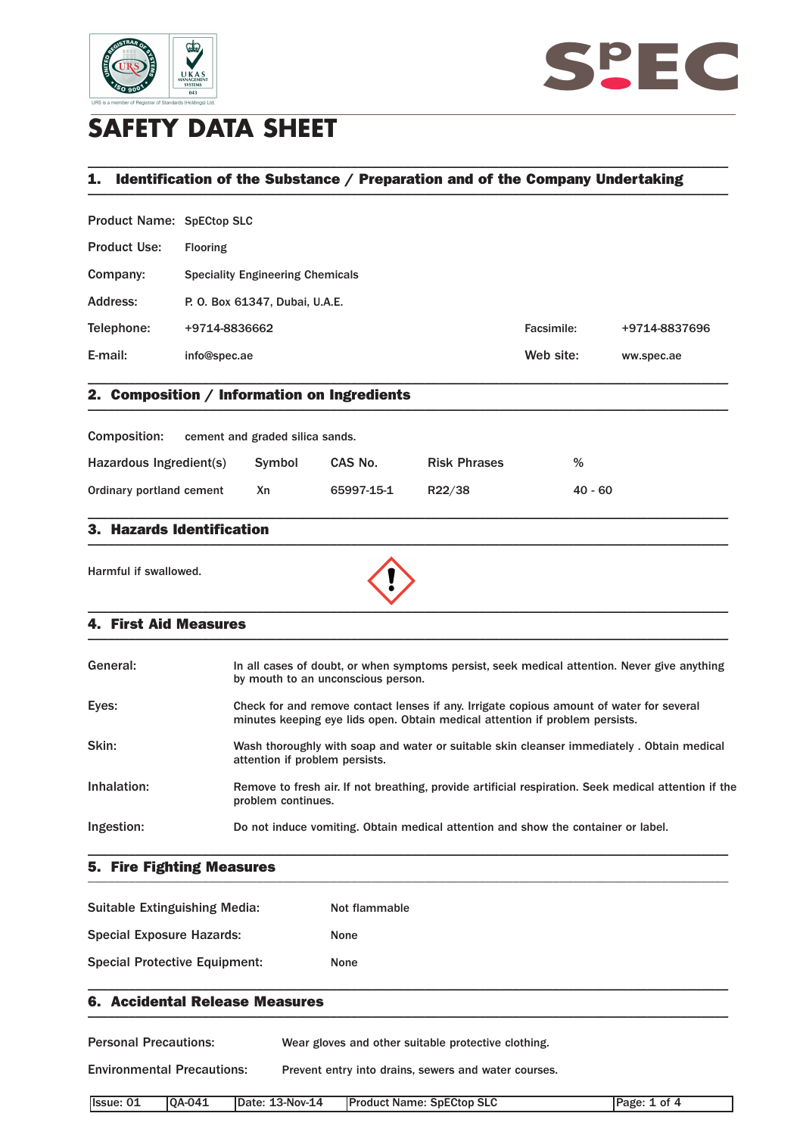



# **SAFETY DATA SHEET**

## **1. Identification of the Substance / Preparation and of the Company Undertaking \_\_\_\_\_\_\_\_\_\_\_\_\_\_\_\_\_\_\_\_\_\_\_\_\_\_\_\_\_\_\_\_\_\_\_\_\_\_\_\_\_\_\_\_\_\_\_\_\_\_\_\_\_\_\_\_\_\_\_\_\_\_\_\_\_\_\_\_\_\_\_\_\_\_\_\_\_\_\_\_\_\_\_\_\_\_\_\_\_\_\_\_\_\_\_**

\_\_\_\_\_\_\_\_\_\_\_\_\_\_\_\_\_\_\_\_\_\_\_\_\_\_\_\_\_\_\_\_\_\_\_\_\_\_\_\_\_\_\_\_\_\_\_\_\_\_\_\_\_\_\_\_\_\_\_\_\_\_\_\_\_\_\_\_\_\_\_\_\_\_\_\_\_\_\_\_\_\_\_\_\_\_\_\_\_\_\_\_\_\_\_

Product Name: SpECtop SLC

| <b>Product Use:</b> | <b>Flooring</b>                         |            |               |
|---------------------|-----------------------------------------|------------|---------------|
| Company:            | <b>Speciality Engineering Chemicals</b> |            |               |
| Address:            | P. O. Box 61347, Dubai, U.A.E.          |            |               |
| Telephone:          | +9714-8836662                           | Facsimile: | +9714-8837696 |
| E-mail:             | info@spec.ae                            | Web site:  | ww.spec.ae    |
|                     |                                         |            |               |

### **2. Composition / Information on Ingredients \_\_\_\_\_\_\_\_\_\_\_\_\_\_\_\_\_\_\_\_\_\_\_\_\_\_\_\_\_\_\_\_\_\_\_\_\_\_\_\_\_\_\_\_\_\_\_\_\_\_\_\_\_\_\_\_\_\_\_\_\_\_\_\_\_\_\_\_\_\_\_\_\_\_\_\_\_\_\_\_\_\_\_\_\_\_\_\_\_\_\_\_\_\_\_**

| <b>Composition:</b>      | cement and graded silica sands. |            |                     |           |
|--------------------------|---------------------------------|------------|---------------------|-----------|
| Hazardous Ingredient(s)  | Symbol                          | CAS No.    | <b>Risk Phrases</b> | %         |
| Ordinary portland cement | Xn                              | 65997-15-1 | R22/38              | $40 - 60$ |

\_\_\_\_\_\_\_\_\_\_\_\_\_\_\_\_\_\_\_\_\_\_\_\_\_\_\_\_\_\_\_\_\_\_\_\_\_\_\_\_\_\_\_\_\_\_\_\_\_\_\_\_\_\_\_\_\_\_\_\_\_\_\_\_\_\_\_\_\_\_\_\_\_\_\_\_\_\_\_\_\_\_\_\_\_\_\_\_\_\_\_\_\_\_\_

#### **3. Hazards Identification \_\_\_\_\_\_\_\_\_\_\_\_\_\_\_\_\_\_\_\_\_\_\_\_\_\_\_\_\_\_\_\_\_\_\_\_\_\_\_\_\_\_\_\_\_\_\_\_\_\_\_\_\_\_\_\_\_\_\_\_\_\_\_\_\_\_\_\_\_\_\_\_\_\_\_\_\_\_\_\_\_\_\_\_\_\_\_\_\_\_\_\_\_\_\_**

Harmful if swallowed.



#### **4. First Aid Measures \_\_\_\_\_\_\_\_\_\_\_\_\_\_\_\_\_\_\_\_\_\_\_\_\_\_\_\_\_\_\_\_\_\_\_\_\_\_\_\_\_\_\_\_\_\_\_\_\_\_\_\_\_\_\_\_\_\_\_\_\_\_\_\_\_\_\_\_\_\_\_\_\_\_\_\_\_\_\_\_\_\_\_\_\_\_\_\_\_\_\_\_\_\_\_**

| General:    | In all cases of doubt, or when symptoms persist, seek medical attention. Never give anything<br>by mouth to an unconscious person.                                       |
|-------------|--------------------------------------------------------------------------------------------------------------------------------------------------------------------------|
| Eyes:       | Check for and remove contact lenses if any. Irrigate copious amount of water for several<br>minutes keeping eye lids open. Obtain medical attention if problem persists. |
| Skin:       | Wash thoroughly with soap and water or suitable skin cleanser immediately . Obtain medical<br>attention if problem persists.                                             |
| Inhalation: | Remove to fresh air. If not breathing, provide artificial respiration. Seek medical attention if the<br>problem continues.                                               |
| Ingestion:  | Do not induce vomiting. Obtain medical attention and show the container or label.                                                                                        |

**5. Fire Fighting Measures** \_\_\_\_\_\_\_\_\_\_\_\_\_\_\_\_\_\_\_\_\_\_\_\_\_\_\_\_\_\_\_\_\_\_\_\_\_\_\_\_\_\_\_\_\_\_\_\_\_\_\_\_\_\_\_\_\_\_\_\_\_\_\_\_\_\_\_\_\_\_\_\_\_\_\_\_\_\_\_\_\_\_\_\_\_\_\_\_\_\_\_\_\_\_\_

| Suitable Extinguishing Media:        | Not flammable |
|--------------------------------------|---------------|
| <b>Special Exposure Hazards:</b>     | <b>None</b>   |
| <b>Special Protective Equipment:</b> | <b>None</b>   |

#### **6. Accidental Release Measures \_\_\_\_\_\_\_\_\_\_\_\_\_\_\_\_\_\_\_\_\_\_\_\_\_\_\_\_\_\_\_\_\_\_\_\_\_\_\_\_\_\_\_\_\_\_\_\_\_\_\_\_\_\_\_\_\_\_\_\_\_\_\_\_\_\_\_\_\_\_\_\_\_\_\_\_\_\_\_\_\_\_\_\_\_\_\_\_\_\_\_\_\_\_\_**

Personal Precautions: Wear gloves and other suitable protective clothing.

Environmental Precautions: Prevent entry into drains, sewers and water courses.

| Ilssue: 01 | $IOA-041$ | 13-Nov-14<br>'Date: | <b>Product Name: SpECtop SLC</b> | Page:<br>0t |
|------------|-----------|---------------------|----------------------------------|-------------|

\_\_\_\_\_\_\_\_\_\_\_\_\_\_\_\_\_\_\_\_\_\_\_\_\_\_\_\_\_\_\_\_\_\_\_\_\_\_\_\_\_\_\_\_\_\_\_\_\_\_\_\_\_\_\_\_\_\_\_\_\_\_\_\_\_\_\_\_\_\_\_\_\_\_\_\_\_\_\_\_\_\_\_\_\_\_\_\_\_\_\_\_\_\_\_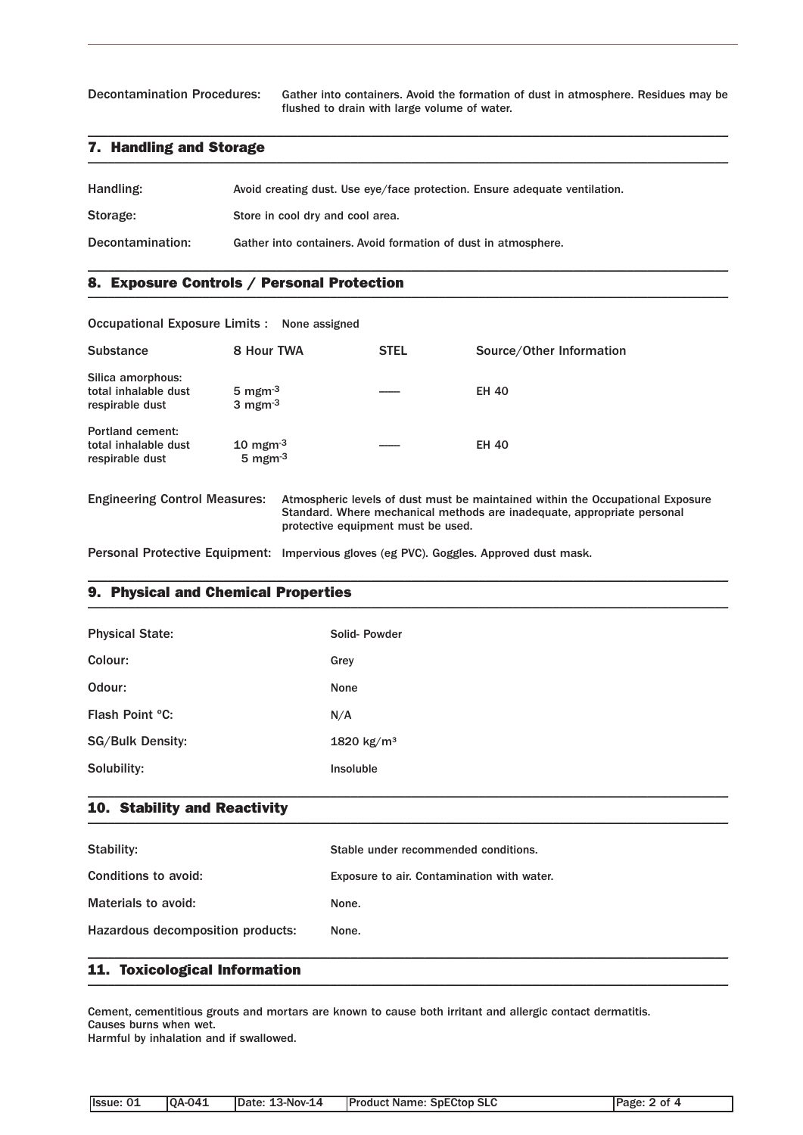Decontamination Procedures: Gather into containers. Avoid the formation of dust in atmosphere. Residues may be flushed to drain with large volume of water.

#### **7. Handling and Storage \_\_\_\_\_\_\_\_\_\_\_\_\_\_\_\_\_\_\_\_\_\_\_\_\_\_\_\_\_\_\_\_\_\_\_\_\_\_\_\_\_\_\_\_\_\_\_\_\_\_\_\_\_\_\_\_\_\_\_\_\_\_\_\_\_\_\_\_\_\_\_\_\_\_\_\_\_\_\_\_\_\_\_\_\_\_\_\_\_\_\_\_\_\_\_**

| Handling:        | Avoid creating dust. Use eye/face protection. Ensure adequate ventilation. |
|------------------|----------------------------------------------------------------------------|
| Storage:         | Store in cool dry and cool area.                                           |
| Decontamination: | Gather into containers. Avoid formation of dust in atmosphere.             |

\_\_\_\_\_\_\_\_\_\_\_\_\_\_\_\_\_\_\_\_\_\_\_\_\_\_\_\_\_\_\_\_\_\_\_\_\_\_\_\_\_\_\_\_\_\_\_\_\_\_\_\_\_\_\_\_\_\_\_\_\_\_\_\_\_\_\_\_\_\_\_\_\_\_\_\_\_\_\_\_\_\_\_\_\_\_\_\_\_\_\_\_\_\_\_

\_\_\_\_\_\_\_\_\_\_\_\_\_\_\_\_\_\_\_\_\_\_\_\_\_\_\_\_\_\_\_\_\_\_\_\_\_\_\_\_\_\_\_\_\_\_\_\_\_\_\_\_\_\_\_\_\_\_\_\_\_\_\_\_\_\_\_\_\_\_\_\_\_\_\_\_\_\_\_\_\_\_\_\_\_\_\_\_\_\_\_\_\_\_\_

### **8. Exposure Controls / Personal Protection \_\_\_\_\_\_\_\_\_\_\_\_\_\_\_\_\_\_\_\_\_\_\_\_\_\_\_\_\_\_\_\_\_\_\_\_\_\_\_\_\_\_\_\_\_\_\_\_\_\_\_\_\_\_\_\_\_\_\_\_\_\_\_\_\_\_\_\_\_\_\_\_\_\_\_\_\_\_\_\_\_\_\_\_\_\_\_\_\_\_\_\_\_\_\_**

Occupational Exposure Limits : None assigned

| <b>Substance</b>                                             | 8 Hour TWA                                                    | <b>STEL</b> | Source/Other Information |
|--------------------------------------------------------------|---------------------------------------------------------------|-------------|--------------------------|
| Silica amorphous:<br>total inhalable dust<br>respirable dust | 5 mgm $^{-3}$<br>$3 \text{ mgm}$ <sup>3</sup>                 |             | <b>EH 40</b>             |
| Portland cement:<br>total inhalable dust<br>respirable dust  | $10 \text{ mgm}$ <sup>3</sup><br>$5 \text{ mgm}$ <sup>3</sup> |             | <b>EH 40</b>             |

Engineering Control Measures: Atmospheric levels of dust must be maintained within the Occupational Exposure Standard. Where mechanical methods are inadequate, appropriate personal protective equipment must be used.

Personal Protective Equipment: Impervious gloves (eg PVC). Goggles. Approved dust mask.

### **9. Physical and Chemical Properties \_\_\_\_\_\_\_\_\_\_\_\_\_\_\_\_\_\_\_\_\_\_\_\_\_\_\_\_\_\_\_\_\_\_\_\_\_\_\_\_\_\_\_\_\_\_\_\_\_\_\_\_\_\_\_\_\_\_\_\_\_\_\_\_\_\_\_\_\_\_\_\_\_\_\_\_\_\_\_\_\_\_\_\_\_\_\_\_\_\_\_\_\_\_\_**

| <b>Physical State:</b>  | Solid-Powder           |
|-------------------------|------------------------|
| Colour:                 | Grey                   |
| Odour:                  | None                   |
| Flash Point °C:         | N/A                    |
| <b>SG/Bulk Density:</b> | 1820 kg/m <sup>3</sup> |
| Solubility:             | <b>Insoluble</b>       |

\_\_\_\_\_\_\_\_\_\_\_\_\_\_\_\_\_\_\_\_\_\_\_\_\_\_\_\_\_\_\_\_\_\_\_\_\_\_\_\_\_\_\_\_\_\_\_\_\_\_\_\_\_\_\_\_\_\_\_\_\_\_\_\_\_\_\_\_\_\_\_\_\_\_\_\_\_\_\_\_\_\_\_\_\_\_\_\_\_\_\_\_\_\_\_

#### **10. Stability and Reactivity \_\_\_\_\_\_\_\_\_\_\_\_\_\_\_\_\_\_\_\_\_\_\_\_\_\_\_\_\_\_\_\_\_\_\_\_\_\_\_\_\_\_\_\_\_\_\_\_\_\_\_\_\_\_\_\_\_\_\_\_\_\_\_\_\_\_\_\_\_\_\_\_\_\_\_\_\_\_\_\_\_\_\_\_\_\_\_\_\_\_\_\_\_\_\_**

| Stability:                        | Stable under recommended conditions.       |
|-----------------------------------|--------------------------------------------|
| Conditions to avoid:              | Exposure to air. Contamination with water. |
| Materials to avoid:               | None.                                      |
| Hazardous decomposition products: | None.                                      |
|                                   |                                            |

\_\_\_\_\_\_\_\_\_\_\_\_\_\_\_\_\_\_\_\_\_\_\_\_\_\_\_\_\_\_\_\_\_\_\_\_\_\_\_\_\_\_\_\_\_\_\_\_\_\_\_\_\_\_\_\_\_\_\_\_\_\_\_\_\_\_\_\_\_\_\_\_\_\_\_\_\_\_\_\_\_\_\_\_\_\_\_\_\_\_\_\_\_\_\_

### **11. Toxicological Information \_\_\_\_\_\_\_\_\_\_\_\_\_\_\_\_\_\_\_\_\_\_\_\_\_\_\_\_\_\_\_\_\_\_\_\_\_\_\_\_\_\_\_\_\_\_\_\_\_\_\_\_\_\_\_\_\_\_\_\_\_\_\_\_\_\_\_\_\_\_\_\_\_\_\_\_\_\_\_\_\_\_\_\_\_\_\_\_\_\_\_\_\_\_\_**

Cement, cementitious grouts and mortars are known to cause both irritant and allergic contact dermatitis. Causes burns when wet.

Harmful by inhalation and if swallowed.

| Issue: 01<br>$[OA-041]$ | Date: 13-Nov-14 | <b>Product Name: SpECtop SLC</b> | Page: 2 of 4 |
|-------------------------|-----------------|----------------------------------|--------------|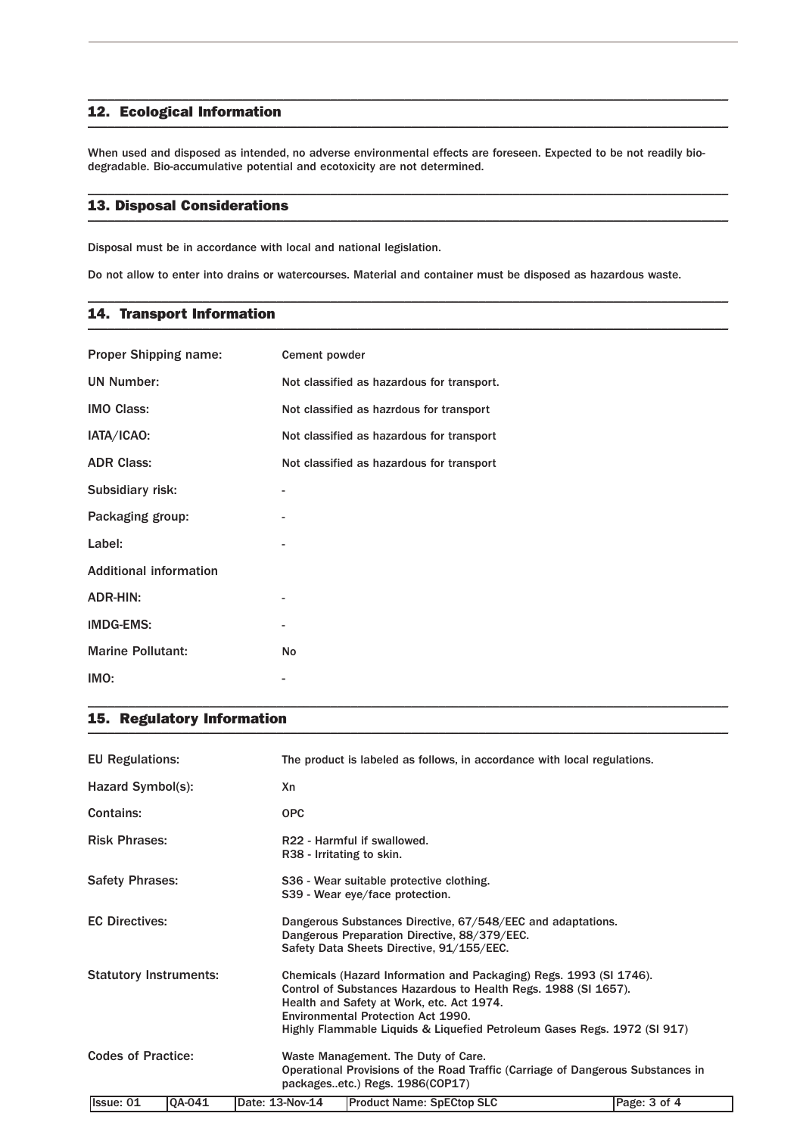#### **12. Ecological Information \_\_\_\_\_\_\_\_\_\_\_\_\_\_\_\_\_\_\_\_\_\_\_\_\_\_\_\_\_\_\_\_\_\_\_\_\_\_\_\_\_\_\_\_\_\_\_\_\_\_\_\_\_\_\_\_\_\_\_\_\_\_\_\_\_\_\_\_\_\_\_\_\_\_\_\_\_\_\_\_\_\_\_\_\_\_\_\_\_\_\_\_\_\_\_**

When used and disposed as intended, no adverse environmental effects are foreseen. Expected to be not readily biodegradable. Bio-accumulative potential and ecotoxicity are not determined.

\_\_\_\_\_\_\_\_\_\_\_\_\_\_\_\_\_\_\_\_\_\_\_\_\_\_\_\_\_\_\_\_\_\_\_\_\_\_\_\_\_\_\_\_\_\_\_\_\_\_\_\_\_\_\_\_\_\_\_\_\_\_\_\_\_\_\_\_\_\_\_\_\_\_\_\_\_\_\_\_\_\_\_\_\_\_\_\_\_\_\_\_\_\_\_

\_\_\_\_\_\_\_\_\_\_\_\_\_\_\_\_\_\_\_\_\_\_\_\_\_\_\_\_\_\_\_\_\_\_\_\_\_\_\_\_\_\_\_\_\_\_\_\_\_\_\_\_\_\_\_\_\_\_\_\_\_\_\_\_\_\_\_\_\_\_\_\_\_\_\_\_\_\_\_\_\_\_\_\_\_\_\_\_\_\_\_\_\_\_\_

\_\_\_\_\_\_\_\_\_\_\_\_\_\_\_\_\_\_\_\_\_\_\_\_\_\_\_\_\_\_\_\_\_\_\_\_\_\_\_\_\_\_\_\_\_\_\_\_\_\_\_\_\_\_\_\_\_\_\_\_\_\_\_\_\_\_\_\_\_\_\_\_\_\_\_\_\_\_\_\_\_\_\_\_\_\_\_\_\_\_\_\_\_\_\_

### **13. Disposal Considerations \_\_\_\_\_\_\_\_\_\_\_\_\_\_\_\_\_\_\_\_\_\_\_\_\_\_\_\_\_\_\_\_\_\_\_\_\_\_\_\_\_\_\_\_\_\_\_\_\_\_\_\_\_\_\_\_\_\_\_\_\_\_\_\_\_\_\_\_\_\_\_\_\_\_\_\_\_\_\_\_\_\_\_\_\_\_\_\_\_\_\_\_\_\_\_**

Disposal must be in accordance with local and national legislation.

Do not allow to enter into drains or watercourses. Material and container must be disposed as hazardous waste.

### **14. Transport Information \_\_\_\_\_\_\_\_\_\_\_\_\_\_\_\_\_\_\_\_\_\_\_\_\_\_\_\_\_\_\_\_\_\_\_\_\_\_\_\_\_\_\_\_\_\_\_\_\_\_\_\_\_\_\_\_\_\_\_\_\_\_\_\_\_\_\_\_\_\_\_\_\_\_\_\_\_\_\_\_\_\_\_\_\_\_\_\_\_\_\_\_\_\_\_**

| <b>Proper Shipping name:</b>  | Cement powder                              |
|-------------------------------|--------------------------------------------|
| <b>UN Number:</b>             | Not classified as hazardous for transport. |
| <b>IMO Class:</b>             | Not classified as hazrdous for transport   |
| IATA/ICAO:                    | Not classified as hazardous for transport  |
| <b>ADR Class:</b>             | Not classified as hazardous for transport  |
| Subsidiary risk:              |                                            |
| Packaging group:              |                                            |
| Label:                        |                                            |
| <b>Additional information</b> |                                            |
| ADR-HIN:                      |                                            |
| <b>IMDG-EMS:</b>              |                                            |
| <b>Marine Pollutant:</b>      | No                                         |
| IMO:                          |                                            |

\_\_\_\_\_\_\_\_\_\_\_\_\_\_\_\_\_\_\_\_\_\_\_\_\_\_\_\_\_\_\_\_\_\_\_\_\_\_\_\_\_\_\_\_\_\_\_\_\_\_\_\_\_\_\_\_\_\_\_\_\_\_\_\_\_\_\_\_\_\_\_\_\_\_\_\_\_\_\_\_\_\_\_\_\_\_\_\_\_\_\_\_\_\_\_

### **15. Regulatory Information \_\_\_\_\_\_\_\_\_\_\_\_\_\_\_\_\_\_\_\_\_\_\_\_\_\_\_\_\_\_\_\_\_\_\_\_\_\_\_\_\_\_\_\_\_\_\_\_\_\_\_\_\_\_\_\_\_\_\_\_\_\_\_\_\_\_\_\_\_\_\_\_\_\_\_\_\_\_\_\_\_\_\_\_\_\_\_\_\_\_\_\_\_\_\_**

| <b>EU Regulations:</b>        |                                                                                                                                                                                                                                                                                                      | The product is labeled as follows, in accordance with local regulations.                                                                                  |              |  |  |
|-------------------------------|------------------------------------------------------------------------------------------------------------------------------------------------------------------------------------------------------------------------------------------------------------------------------------------------------|-----------------------------------------------------------------------------------------------------------------------------------------------------------|--------------|--|--|
| Hazard Symbol(s):             | Xn                                                                                                                                                                                                                                                                                                   |                                                                                                                                                           |              |  |  |
| Contains:                     | <b>OPC</b>                                                                                                                                                                                                                                                                                           |                                                                                                                                                           |              |  |  |
| <b>Risk Phrases:</b>          |                                                                                                                                                                                                                                                                                                      | R22 - Harmful if swallowed.<br>R38 - Irritating to skin.                                                                                                  |              |  |  |
| <b>Safety Phrases:</b>        | S36 - Wear suitable protective clothing.<br>S39 - Wear eye/face protection.                                                                                                                                                                                                                          |                                                                                                                                                           |              |  |  |
| <b>EC Directives:</b>         | Dangerous Substances Directive, 67/548/EEC and adaptations.<br>Dangerous Preparation Directive, 88/379/EEC.<br>Safety Data Sheets Directive, 91/155/EEC.                                                                                                                                             |                                                                                                                                                           |              |  |  |
| <b>Statutory Instruments:</b> | Chemicals (Hazard Information and Packaging) Regs. 1993 (SI 1746).<br>Control of Substances Hazardous to Health Regs. 1988 (SI 1657).<br>Health and Safety at Work, etc. Act 1974.<br>Environmental Protection Act 1990.<br>Highly Flammable Liquids & Liquefied Petroleum Gases Regs. 1972 (SI 917) |                                                                                                                                                           |              |  |  |
| <b>Codes of Practice:</b>     |                                                                                                                                                                                                                                                                                                      | Waste Management. The Duty of Care.<br>Operational Provisions of the Road Traffic (Carriage of Dangerous Substances in<br>packagesetc.) Regs. 1986(COP17) |              |  |  |
| Issue: 01<br>QA-041           | Date: 13-Nov-14                                                                                                                                                                                                                                                                                      | <b>Product Name: SpECtop SLC</b>                                                                                                                          | Page: 3 of 4 |  |  |